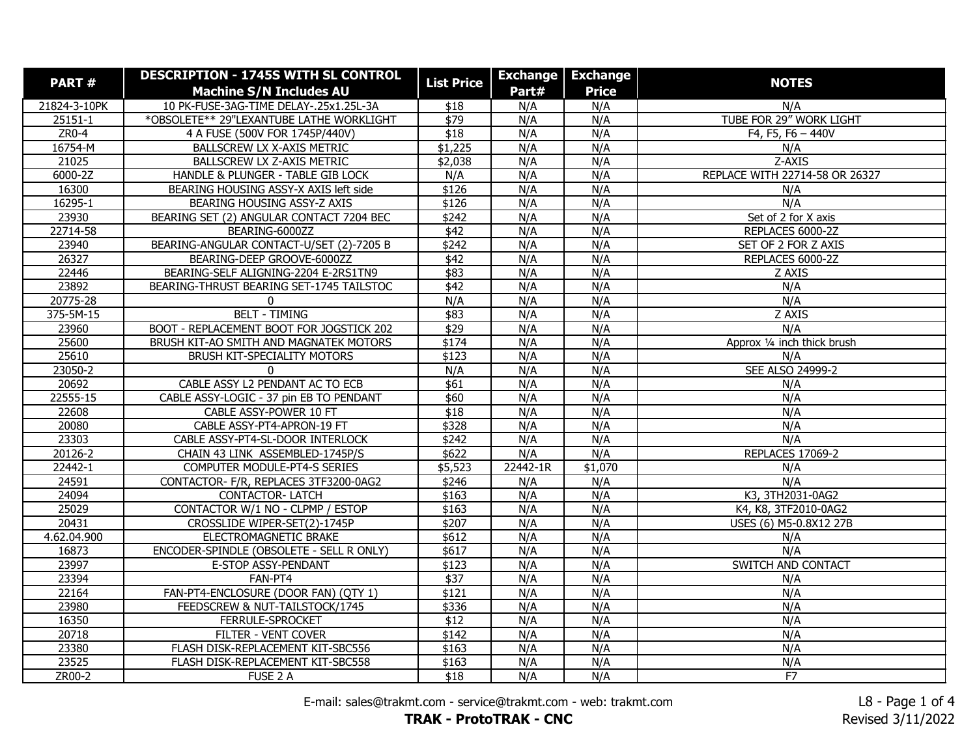| PART#        | <b>DESCRIPTION - 1745S WITH SL CONTROL</b> | <b>List Price</b> | <b>Exchange</b> | <b>Exchange</b> |                                |
|--------------|--------------------------------------------|-------------------|-----------------|-----------------|--------------------------------|
|              | <b>Machine S/N Includes AU</b>             |                   | Part#           | <b>Price</b>    | <b>NOTES</b>                   |
| 21824-3-10PK | 10 PK-FUSE-3AG-TIME DELAY-.25x1.25L-3A     | \$18              | N/A             | N/A             | N/A                            |
| $25151 - 1$  | *OBSOLETE** 29"LEXANTUBE LATHE WORKLIGHT   | $\sqrt{$79}$      | N/A             | N/A             | TUBE FOR 29" WORK LIGHT        |
| ZR0-4        | 4 A FUSE (500V FOR 1745P/440V)             | \$18              | N/A             | N/A             | F4, F5, F6 - 440V              |
| 16754-M      | BALLSCREW LX X-AXIS METRIC                 | \$1,225           | N/A             | N/A             | N/A                            |
| 21025        | BALLSCREW LX Z-AXIS METRIC                 | \$2,038           | N/A             | N/A             | Z-AXIS                         |
| 6000-2Z      | HANDLE & PLUNGER - TABLE GIB LOCK          | N/A               | N/A             | N/A             | REPLACE WITH 22714-58 OR 26327 |
| 16300        | BEARING HOUSING ASSY-X AXIS left side      | \$126             | N/A             | N/A             | N/A                            |
| 16295-1      | BEARING HOUSING ASSY-Z AXIS                | \$126             | N/A             | N/A             | N/A                            |
| 23930        | BEARING SET (2) ANGULAR CONTACT 7204 BEC   | \$242             | N/A             | N/A             | Set of 2 for X axis            |
| 22714-58     | BEARING-6000ZZ                             | \$42              | N/A             | N/A             | REPLACES 6000-2Z               |
| 23940        | BEARING-ANGULAR CONTACT-U/SET (2)-7205 B   | \$242             | N/A             | N/A             | SET OF 2 FOR Z AXIS            |
| 26327        | BEARING-DEEP GROOVE-6000ZZ                 | \$42              | N/A             | N/A             | REPLACES 6000-2Z               |
| 22446        | BEARING-SELF ALIGNING-2204 E-2RS1TN9       | \$83              | N/A             | N/A             | Z AXIS                         |
| 23892        | BEARING-THRUST BEARING SET-1745 TAILSTOC   | $\overline{$42}$  | N/A             | N/A             | N/A                            |
| 20775-28     | 0                                          | N/A               | N/A             | N/A             | N/A                            |
| 375-5M-15    | <b>BELT - TIMING</b>                       | \$83              | N/A             | N/A             | Z AXIS                         |
| 23960        | BOOT - REPLACEMENT BOOT FOR JOGSTICK 202   | \$29              | N/A             | N/A             | N/A                            |
| 25600        | BRUSH KIT-AO SMITH AND MAGNATEK MOTORS     | \$174             | N/A             | N/A             | Approx 1/4 inch thick brush    |
| 25610        | BRUSH KIT-SPECIALITY MOTORS                | \$123             | N/A             | N/A             | N/A                            |
| 23050-2      | $\Omega$                                   | N/A               | N/A             | N/A             | SEE ALSO 24999-2               |
| 20692        | CABLE ASSY L2 PENDANT AC TO ECB            | $\overline{$61}$  | N/A             | N/A             | N/A                            |
| 22555-15     | CABLE ASSY-LOGIC - 37 pin EB TO PENDANT    | \$60              | N/A             | N/A             | N/A                            |
| 22608        | CABLE ASSY-POWER 10 FT                     | $\overline{$18}$  | N/A             | N/A             | N/A                            |
| 20080        | CABLE ASSY-PT4-APRON-19 FT                 | \$328             | N/A             | N/A             | N/A                            |
| 23303        | CABLE ASSY-PT4-SL-DOOR INTERLOCK           | \$242             | N/A             | N/A             | N/A                            |
| 20126-2      | CHAIN 43 LINK ASSEMBLED-1745P/S            | \$622             | N/A             | N/A             | <b>REPLACES 17069-2</b>        |
| 22442-1      | COMPUTER MODULE-PT4-S SERIES               | \$5,523           | 22442-1R        | \$1,070         | N/A                            |
| 24591        | CONTACTOR- F/R, REPLACES 3TF3200-0AG2      | \$246             | N/A             | N/A             | N/A                            |
| 24094        | <b>CONTACTOR-LATCH</b>                     | \$163             | N/A             | N/A             | K3, 3TH2031-0AG2               |
| 25029        | CONTACTOR W/1 NO - CLPMP / ESTOP           | \$163             | N/A             | N/A             | K4, K8, 3TF2010-0AG2           |
| 20431        | CROSSLIDE WIPER-SET(2)-1745P               | \$207             | N/A             | N/A             | USES (6) M5-0.8X12 27B         |
| 4.62.04.900  | ELECTROMAGNETIC BRAKE                      | \$612             | N/A             | N/A             | N/A                            |
| 16873        | ENCODER-SPINDLE (OBSOLETE - SELL R ONLY)   | \$617             | N/A             | N/A             | N/A                            |
| 23997        | E-STOP ASSY-PENDANT                        | \$123             | N/A             | N/A             | SWITCH AND CONTACT             |
| 23394        | FAN-PT4                                    | \$37              | N/A             | N/A             | N/A                            |
| 22164        | FAN-PT4-ENCLOSURE (DOOR FAN) (QTY 1)       | \$121             | N/A             | N/A             | N/A                            |
| 23980        | FEEDSCREW & NUT-TAILSTOCK/1745             | \$336             | N/A             | N/A             | N/A                            |
| 16350        | FERRULE-SPROCKET                           | \$12              | N/A             | N/A             | N/A                            |
| 20718        | FILTER - VENT COVER                        | \$142             | N/A             | N/A             | N/A                            |
| 23380        | FLASH DISK-REPLACEMENT KIT-SBC556          | \$163             | N/A             | N/A             | N/A                            |
| 23525        | FLASH DISK-REPLACEMENT KIT-SBC558          | \$163             | N/A             | N/A             | N/A                            |
| ZR00-2       | FUSE 2 A                                   | \$18              | N/A             | N/A             | F7                             |

E-mail: sales@trakmt.com - service@trakmt.com - web: trakmt.com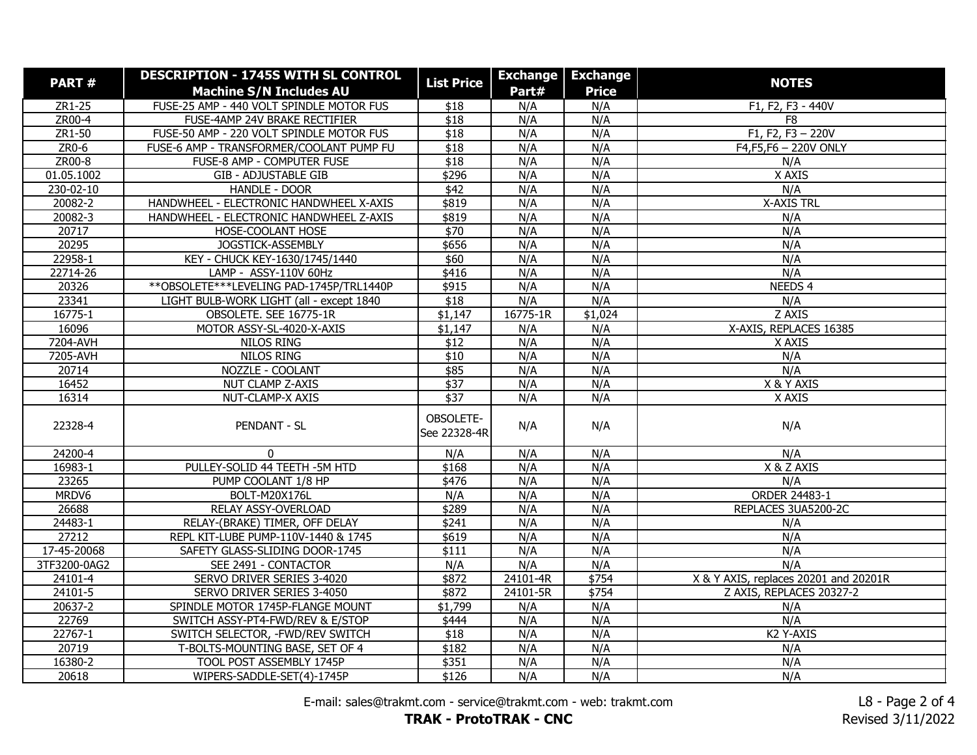| PART#        | <b>DESCRIPTION - 1745S WITH SL CONTROL</b>  | <b>List Price</b>         | <b>Exchange</b> | <b>Exchange</b> | <b>NOTES</b>                          |
|--------------|---------------------------------------------|---------------------------|-----------------|-----------------|---------------------------------------|
|              | <b>Machine S/N Includes AU</b>              |                           | Part#           | <b>Price</b>    |                                       |
| $ZR1-25$     | FUSE-25 AMP - 440 VOLT SPINDLE MOTOR FUS    | \$18                      | N/A             | N/A             | F1, F2, F3 - 440V                     |
| ZR00-4       | FUSE-4AMP 24V BRAKE RECTIFIER               | \$18                      | N/A             | N/A             | F <sub>8</sub>                        |
| ZR1-50       | FUSE-50 AMP - 220 VOLT SPINDLE MOTOR FUS    | \$18                      | N/A             | N/A             | F1, F2, F3 $- 220V$                   |
| $ZR0-6$      | FUSE-6 AMP - TRANSFORMER/COOLANT PUMP FU    | $\overline{$18}$          | N/A             | N/A             | F4,F5,F6 - 220V ONLY                  |
| $ZROO-8$     | FUSE-8 AMP - COMPUTER FUSE                  | $\overline{$18}$          | N/A             | N/A             | N/A                                   |
| 01.05.1002   | <b>GIB - ADJUSTABLE GIB</b>                 | \$296                     | N/A             | N/A             | X AXIS                                |
| 230-02-10    | HANDLE - DOOR                               | \$42                      | N/A             | N/A             | N/A                                   |
| 20082-2      | HANDWHEEL - ELECTRONIC HANDWHEEL X-AXIS     | \$819                     | N/A             | N/A             | <b>X-AXIS TRL</b>                     |
| 20082-3      | HANDWHEEL - ELECTRONIC HANDWHEEL Z-AXIS     | \$819                     | N/A             | N/A             | N/A                                   |
| 20717        | HOSE-COOLANT HOSE                           | $\overline{$}70$          | N/A             | N/A             | N/A                                   |
| 20295        | JOGSTICK-ASSEMBLY                           | \$656                     | N/A             | N/A             | N/A                                   |
| 22958-1      | KEY - CHUCK KEY-1630/1745/1440              | \$60                      | N/A             | N/A             | N/A                                   |
| 22714-26     | LAMP - ASSY-110V 60Hz                       | \$416                     | N/A             | N/A             | N/A                                   |
| 20326        | ** OBSOLETE *** LEVELING PAD-1745P/TRL1440P | \$915                     | N/A             | N/A             | NEEDS 4                               |
| 23341        | LIGHT BULB-WORK LIGHT (all - except 1840    | \$18                      | N/A             | N/A             | N/A                                   |
| 16775-1      | OBSOLETE. SEE 16775-1R                      | \$1,147                   | 16775-1R        | \$1,024         | Z AXIS                                |
| 16096        | MOTOR ASSY-SL-4020-X-AXIS                   | \$1,147                   | N/A             | N/A             | X-AXIS, REPLACES 16385                |
| 7204-AVH     | NILOS RING                                  | \$12                      | N/A             | N/A             | X AXIS                                |
| 7205-AVH     | <b>NILOS RING</b>                           | $\overline{$10}$          | N/A             | N/A             | N/A                                   |
| 20714        | NOZZLE - COOLANT                            | \$85                      | N/A             | N/A             | N/A                                   |
| 16452        | NUT CLAMP Z-AXIS                            | \$37                      | N/A             | N/A             | X & Y AXIS                            |
| 16314        | NUT-CLAMP-X AXIS                            | $\sqrt{$37}$              | N/A             | N/A             | X AXIS                                |
| 22328-4      | <b>PENDANT - SL</b>                         | OBSOLETE-<br>See 22328-4R | N/A             | N/A             | N/A                                   |
| 24200-4      | $\Omega$                                    | N/A                       | N/A             | N/A             | N/A                                   |
| 16983-1      | PULLEY-SOLID 44 TEETH - 5M HTD              | \$168                     | N/A             | N/A             | X & Z AXIS                            |
| 23265        | PUMP COOLANT 1/8 HP                         | \$476                     | N/A             | N/A             | N/A                                   |
| MRDV6        | <b>BOLT-M20X176L</b>                        | N/A                       | N/A             | N/A             | <b>ORDER 24483-1</b>                  |
| 26688        | RELAY ASSY-OVERLOAD                         | \$289                     | N/A             | N/A             | REPLACES 3UA5200-2C                   |
| 24483-1      | RELAY-(BRAKE) TIMER, OFF DELAY              | \$241                     | N/A             | N/A             | N/A                                   |
| 27212        | REPL KIT-LUBE PUMP-110V-1440 & 1745         | \$619                     | N/A             | N/A             | N/A                                   |
| 17-45-20068  | SAFETY GLASS-SLIDING DOOR-1745              | \$111                     | N/A             | N/A             | N/A                                   |
| 3TF3200-0AG2 | SEE 2491 - CONTACTOR                        | N/A                       | N/A             | N/A             | N/A                                   |
| $24101 - 4$  | SERVO DRIVER SERIES 3-4020                  | \$872                     | 24101-4R        | \$754           | X & Y AXIS, replaces 20201 and 20201R |
| 24101-5      | SERVO DRIVER SERIES 3-4050                  | \$872                     | 24101-5R        | \$754           | Z AXIS, REPLACES 20327-2              |
| 20637-2      | SPINDLE MOTOR 1745P-FLANGE MOUNT            | \$1,799                   | N/A             | N/A             | N/A                                   |
| 22769        | SWITCH ASSY-PT4-FWD/REV & E/STOP            | \$444                     | N/A             | N/A             | N/A                                   |
| $22767 - 1$  | SWITCH SELECTOR, -FWD/REV SWITCH            | \$18                      | N/A             | N/A             | K2 Y-AXIS                             |
| 20719        | T-BOLTS-MOUNTING BASE, SET OF 4             | \$182                     | N/A             | N/A             | N/A                                   |
| 16380-2      | TOOL POST ASSEMBLY 1745P                    | \$351                     | N/A             | N/A             | N/A                                   |
| 20618        | WIPERS-SADDLE-SET(4)-1745P                  | \$126                     | N/A             | N/A             | N/A                                   |

E-mail: sales@trakmt.com - service@trakmt.com - web: trakmt.com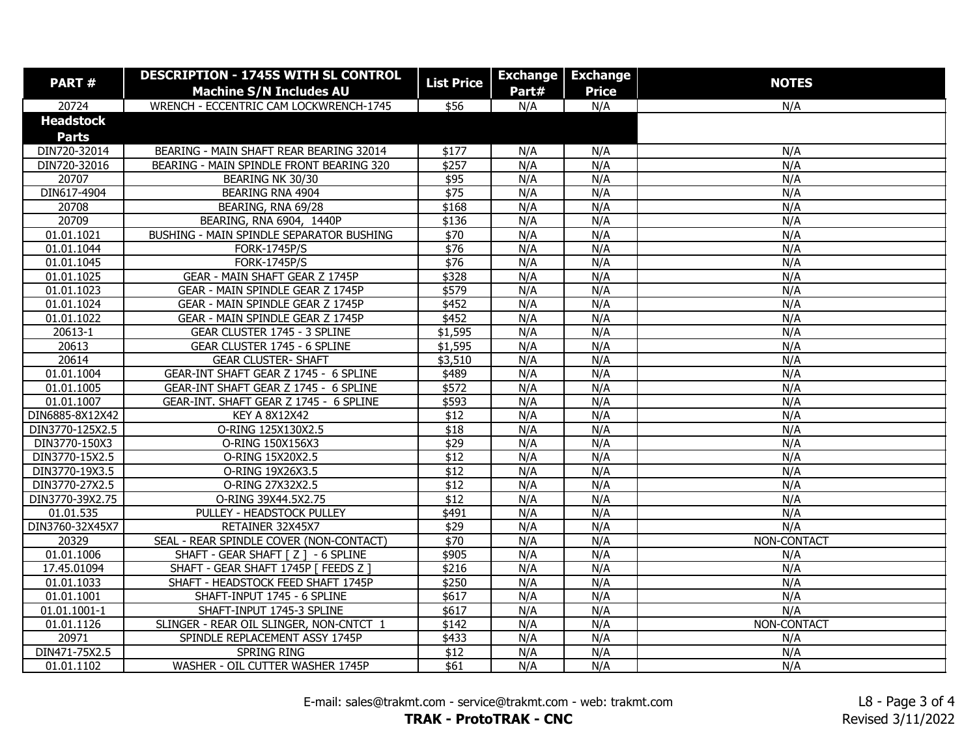| <b>PART#</b>     | <b>DESCRIPTION - 1745S WITH SL CONTROL</b> | <b>List Price</b> |       | <b>Exchange Exchange</b> | <b>NOTES</b> |
|------------------|--------------------------------------------|-------------------|-------|--------------------------|--------------|
|                  | <b>Machine S/N Includes AU</b>             |                   | Part# | <b>Price</b>             |              |
| 20724            | WRENCH - ECCENTRIC CAM LOCKWRENCH-1745     | \$56              | N/A   | N/A                      | N/A          |
| <b>Headstock</b> |                                            |                   |       |                          |              |
| <b>Parts</b>     |                                            |                   |       |                          |              |
| DIN720-32014     | BEARING - MAIN SHAFT REAR BEARING 32014    | \$177             | N/A   | N/A                      | N/A          |
| DIN720-32016     | BEARING - MAIN SPINDLE FRONT BEARING 320   | $\sqrt{$257}$     | N/A   | N/A                      | N/A          |
| 20707            | BEARING NK 30/30                           | \$95              | N/A   | N/A                      | N/A          |
| DIN617-4904      | BEARING RNA 4904                           | \$75              | N/A   | N/A                      | N/A          |
| 20708            | BEARING, RNA 69/28                         | \$168             | N/A   | N/A                      | N/A          |
| 20709            | BEARING, RNA 6904, 1440P                   | \$136             | N/A   | N/A                      | N/A          |
| 01.01.1021       | BUSHING - MAIN SPINDLE SEPARATOR BUSHING   | \$70              | N/A   | N/A                      | N/A          |
| 01.01.1044       | <b>FORK-1745P/S</b>                        | $\sqrt{$76}$      | N/A   | N/A                      | N/A          |
| 01.01.1045       | <b>FORK-1745P/S</b>                        | $\sqrt{$76}$      | N/A   | N/A                      | N/A          |
| 01.01.1025       | GEAR - MAIN SHAFT GEAR Z 1745P             | \$328             | N/A   | N/A                      | N/A          |
| 01.01.1023       | GEAR - MAIN SPINDLE GEAR Z 1745P           | \$579             | N/A   | N/A                      | N/A          |
| 01.01.1024       | GEAR - MAIN SPINDLE GEAR Z 1745P           | \$452             | N/A   | N/A                      | N/A          |
| 01.01.1022       | GEAR - MAIN SPINDLE GEAR Z 1745P           | \$452             | N/A   | N/A                      | N/A          |
| 20613-1          | GEAR CLUSTER 1745 - 3 SPLINE               | \$1,595           | N/A   | N/A                      | N/A          |
| 20613            | GEAR CLUSTER 1745 - 6 SPLINE               | \$1,595           | N/A   | N/A                      | N/A          |
| 20614            | <b>GEAR CLUSTER- SHAFT</b>                 | \$3,510           | N/A   | N/A                      | N/A          |
| 01.01.1004       | GEAR-INT SHAFT GEAR Z 1745 - 6 SPLINE      | \$489             | N/A   | N/A                      | N/A          |
| 01.01.1005       | GEAR-INT SHAFT GEAR Z 1745 - 6 SPLINE      | \$572             | N/A   | N/A                      | N/A          |
| 01.01.1007       | GEAR-INT. SHAFT GEAR Z 1745 - 6 SPLINE     | \$593             | N/A   | N/A                      | N/A          |
| DIN6885-8X12X42  | <b>KEY A 8X12X42</b>                       | \$12              | N/A   | N/A                      | N/A          |
| DIN3770-125X2.5  | O-RING 125X130X2.5                         | $\overline{$18}$  | N/A   | N/A                      | N/A          |
| DIN3770-150X3    | O-RING 150X156X3                           | $\sqrt{$29}$      | N/A   | N/A                      | N/A          |
| DIN3770-15X2.5   | O-RING 15X20X2.5                           | \$12              | N/A   | N/A                      | N/A          |
| DIN3770-19X3.5   | O-RING 19X26X3.5                           | $\overline{$12}$  | N/A   | N/A                      | N/A          |
| DIN3770-27X2.5   | O-RING 27X32X2.5                           | $\overline{$12}$  | N/A   | N/A                      | N/A          |
| DIN3770-39X2.75  | O-RING 39X44.5X2.75                        | \$12              | N/A   | N/A                      | N/A          |
| 01.01.535        | PULLEY - HEADSTOCK PULLEY                  | \$491             | N/A   | N/A                      | N/A          |
| DIN3760-32X45X7  | RETAINER 32X45X7                           | $\sqrt{$29}$      | N/A   | N/A                      | N/A          |
| 20329            | SEAL - REAR SPINDLE COVER (NON-CONTACT)    | $\sqrt{570}$      | N/A   | N/A                      | NON-CONTACT  |
| 01.01.1006       | SHAFT - GEAR SHAFT [ Z ] - 6 SPLINE        | \$905             | N/A   | N/A                      | N/A          |
| 17.45.01094      | SHAFT - GEAR SHAFT 1745P [ FEEDS Z ]       | \$216             | N/A   | N/A                      | N/A          |
| 01.01.1033       | SHAFT - HEADSTOCK FEED SHAFT 1745P         | \$250             | N/A   | N/A                      | N/A          |
| 01.01.1001       | SHAFT-INPUT 1745 - 6 SPLINE                | \$617             | N/A   | N/A                      | N/A          |
| 01.01.1001-1     | SHAFT-INPUT 1745-3 SPLINE                  | \$617             | N/A   | N/A                      | N/A          |
| 01.01.1126       | SLINGER - REAR OIL SLINGER, NON-CNTCT 1    | \$142             | N/A   | N/A                      | NON-CONTACT  |
| 20971            | SPINDLE REPLACEMENT ASSY 1745P             | \$433             | N/A   | N/A                      | N/A          |
| DIN471-75X2.5    | <b>SPRING RING</b>                         | \$12              | N/A   | N/A                      | N/A          |
| 01.01.1102       | WASHER - OIL CUTTER WASHER 1745P           | \$61              | N/A   | N/A                      | N/A          |

E-mail: sales@trakmt.com - service@trakmt.com - web: trakmt.com